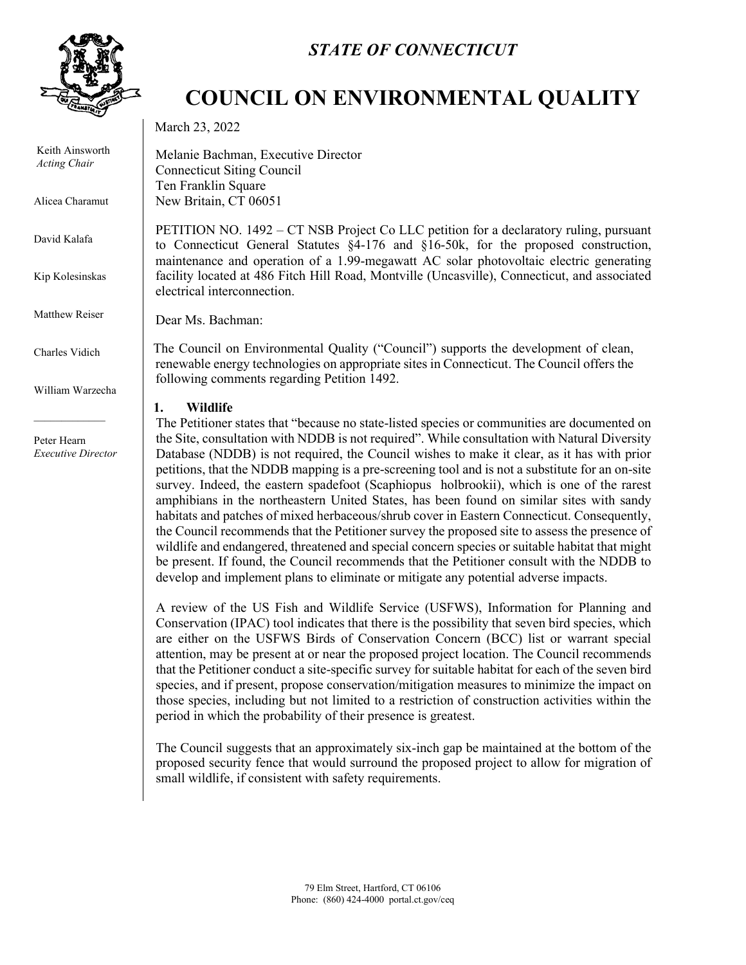

Keith Ainsworth *Acting Chair*

Alicea Charamut

David Kalafa

Kip Kolesinskas

Matthew Reiser

Charles Vidich

William Warzecha

Peter Hearn *Executive Director*

## *STATE OF CONNECTICUT*

# **COUNCIL ON ENVIRONMENTAL QUALITY**

March 23, 2022

Melanie Bachman, Executive Director Connecticut Siting Council Ten Franklin Square New Britain, CT 06051

PETITION NO. 1492 – CT NSB Project Co LLC petition for a declaratory ruling, pursuant to Connecticut General Statutes §4-176 and §16-50k, for the proposed construction, maintenance and operation of a 1.99-megawatt AC solar photovoltaic electric generating facility located at 486 Fitch Hill Road, Montville (Uncasville), Connecticut, and associated electrical interconnection.

Dear Ms. Bachman:

The Council on Environmental Quality ("Council") supports the development of clean, renewable energy technologies on appropriate sites in Connecticut. The Council offers the following comments regarding Petition 1492.

### **1. Wildlife**

The Petitioner states that "because no state-listed species or communities are documented on the Site, consultation with NDDB is not required". While consultation with Natural Diversity Database (NDDB) is not required, the Council wishes to make it clear, as it has with prior petitions, that the NDDB mapping is a pre-screening tool and is not a substitute for an on-site survey. Indeed, the eastern spadefoot (Scaphiopus holbrookii), which is one of the rarest amphibians in the northeastern United States, has been found on similar sites with sandy habitats and patches of mixed herbaceous/shrub cover in Eastern Connecticut. Consequently, the Council recommends that the Petitioner survey the proposed site to assess the presence of wildlife and endangered, threatened and special concern species or suitable habitat that might be present. If found, the Council recommends that the Petitioner consult with the NDDB to develop and implement plans to eliminate or mitigate any potential adverse impacts.

A review of the US Fish and Wildlife Service (USFWS), Information for Planning and Conservation (IPAC) tool indicates that there is the possibility that seven bird species, which are either on the USFWS Birds of Conservation Concern (BCC) list or warrant special attention, may be present at or near the proposed project location. The Council recommends that the Petitioner conduct a site-specific survey for suitable habitat for each of the seven bird species, and if present, propose conservation/mitigation measures to minimize the impact on those species, including but not limited to a restriction of construction activities within the period in which the probability of their presence is greatest.

The Council suggests that an approximately six-inch gap be maintained at the bottom of the proposed security fence that would surround the proposed project to allow for migration of small wildlife, if consistent with safety requirements.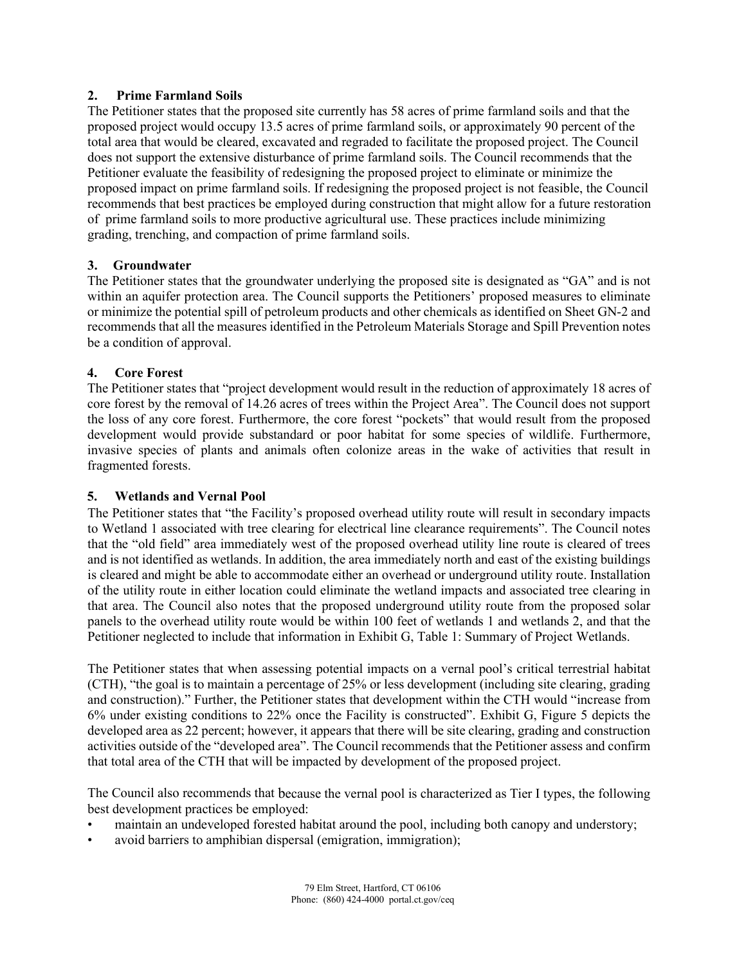### **2. Prime Farmland Soils**

The Petitioner states that the proposed site currently has 58 acres of prime farmland soils and that the proposed project would occupy 13.5 acres of prime farmland soils, or approximately 90 percent of the total area that would be cleared, excavated and regraded to facilitate the proposed project. The Council does not support the extensive disturbance of prime farmland soils. The Council recommends that the Petitioner evaluate the feasibility of redesigning the proposed project to eliminate or minimize the proposed impact on prime farmland soils. If redesigning the proposed project is not feasible, the Council recommends that best practices be employed during construction that might allow for a future restoration of prime farmland soils to more productive agricultural use. These practices include minimizing grading, trenching, and compaction of prime farmland soils.

### **3. Groundwater**

The Petitioner states that the groundwater underlying the proposed site is designated as "GA" and is not within an aquifer protection area. The Council supports the Petitioners' proposed measures to eliminate or minimize the potential spill of petroleum products and other chemicals as identified on Sheet GN-2 and recommends that all the measures identified in the Petroleum Materials Storage and Spill Prevention notes be a condition of approval.

#### **4. Core Forest**

The Petitioner states that "project development would result in the reduction of approximately 18 acres of core forest by the removal of 14.26 acres of trees within the Project Area". The Council does not support the loss of any core forest. Furthermore, the core forest "pockets" that would result from the proposed development would provide substandard or poor habitat for some species of wildlife. Furthermore, invasive species of plants and animals often colonize areas in the wake of activities that result in fragmented forests.

### **5. Wetlands and Vernal Pool**

The Petitioner states that "the Facility's proposed overhead utility route will result in secondary impacts to Wetland 1 associated with tree clearing for electrical line clearance requirements". The Council notes that the "old field" area immediately west of the proposed overhead utility line route is cleared of trees and is not identified as wetlands. In addition, the area immediately north and east of the existing buildings is cleared and might be able to accommodate either an overhead or underground utility route. Installation of the utility route in either location could eliminate the wetland impacts and associated tree clearing in that area. The Council also notes that the proposed underground utility route from the proposed solar panels to the overhead utility route would be within 100 feet of wetlands 1 and wetlands 2, and that the Petitioner neglected to include that information in Exhibit G, Table 1: Summary of Project Wetlands.

The Petitioner states that when assessing potential impacts on a vernal pool's critical terrestrial habitat (CTH), "the goal is to maintain a percentage of 25% or less development (including site clearing, grading and construction)." Further, the Petitioner states that development within the CTH would "increase from 6% under existing conditions to 22% once the Facility is constructed". Exhibit G, Figure 5 depicts the developed area as 22 percent; however, it appears that there will be site clearing, grading and construction activities outside of the "developed area". The Council recommends that the Petitioner assess and confirm that total area of the CTH that will be impacted by development of the proposed project.

The Council also recommends that because the vernal pool is characterized as Tier I types, the following best development practices be employed:

- maintain an undeveloped forested habitat around the pool, including both canopy and understory;
- avoid barriers to amphibian dispersal (emigration, immigration);